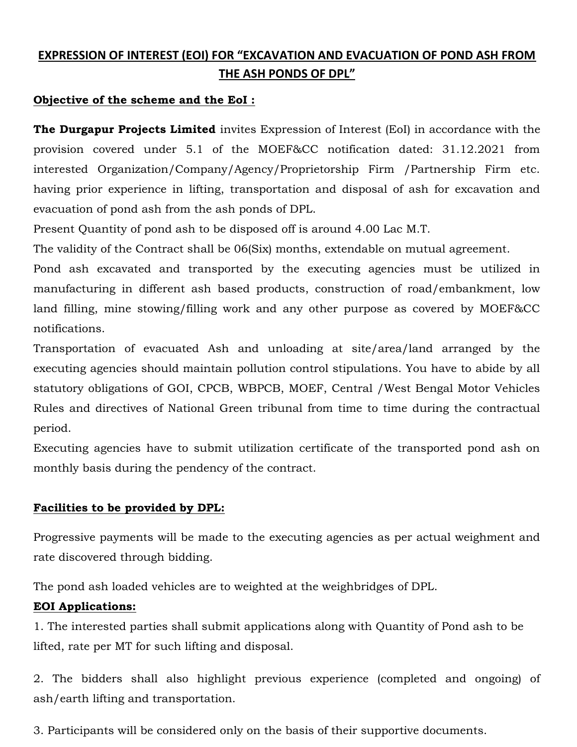# EXPRESSION OF INTEREST (EOI) FOR "EXCAVATION AND EVACUATION OF POND ASH FROM THE ASH PONDS OF DPL"

# Objective of the scheme and the EoI :

The Durgapur Projects Limited invites Expression of Interest (EoI) in accordance with the provision covered under 5.1 of the MOEF&CC notification dated: 31.12.2021 from interested Organization/Company/Agency/Proprietorship Firm /Partnership Firm etc. having prior experience in lifting, transportation and disposal of ash for excavation and evacuation of pond ash from the ash ponds of DPL.

Present Quantity of pond ash to be disposed off is around 4.00 Lac M.T.

The validity of the Contract shall be 06(Six) months, extendable on mutual agreement.

Pond ash excavated and transported by the executing agencies must be utilized in manufacturing in different ash based products, construction of road/embankment, low land filling, mine stowing/filling work and any other purpose as covered by MOEF&CC notifications.

Transportation of evacuated Ash and unloading at site/area/land arranged by the executing agencies should maintain pollution control stipulations. You have to abide by all statutory obligations of GOI, CPCB, WBPCB, MOEF, Central /West Bengal Motor Vehicles Rules and directives of National Green tribunal from time to time during the contractual period.

Executing agencies have to submit utilization certificate of the transported pond ash on monthly basis during the pendency of the contract.

# Facilities to be provided by DPL:

Progressive payments will be made to the executing agencies as per actual weighment and rate discovered through bidding.

The pond ash loaded vehicles are to weighted at the weighbridges of DPL.

### EOI Applications:

1. The interested parties shall submit applications along with Quantity of Pond ash to be lifted, rate per MT for such lifting and disposal.

2. The bidders shall also highlight previous experience (completed and ongoing) of ash/earth lifting and transportation.

3. Participants will be considered only on the basis of their supportive documents.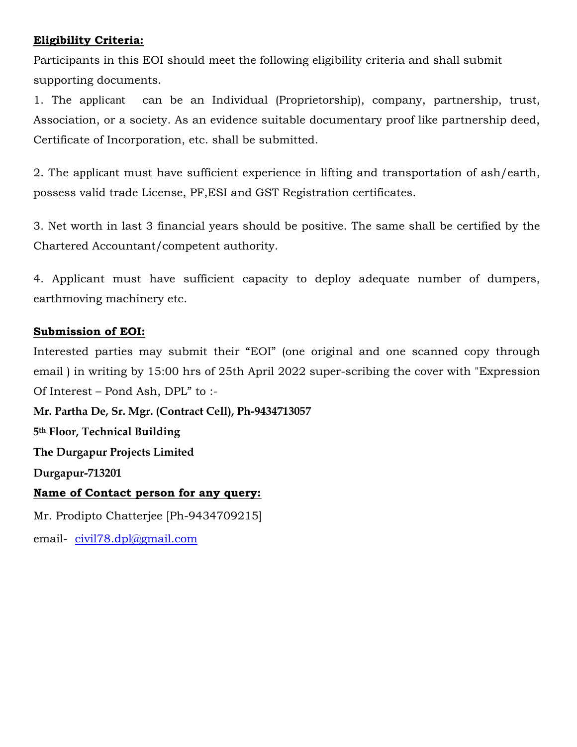# Eligibility Criteria:

Participants in this EOI should meet the following eligibility criteria and shall submit supporting documents.

1. The applicant can be an Individual (Proprietorship), company, partnership, trust, Association, or a society. As an evidence suitable documentary proof like partnership deed, Certificate of Incorporation, etc. shall be submitted.

2. The applicant must have sufficient experience in lifting and transportation of ash/earth, possess valid trade License, PF,ESI and GST Registration certificates.

3. Net worth in last 3 financial years should be positive. The same shall be certified by the Chartered Accountant/competent authority.

4. Applicant must have sufficient capacity to deploy adequate number of dumpers, earthmoving machinery etc.

# Submission of EOI:

Interested parties may submit their "EOI" (one original and one scanned copy through email ) in writing by 15:00 hrs of 25th April 2022 super-scribing the cover with "Expression Of Interest – Pond Ash, DPL" to :-

Mr. Partha De, Sr. Mgr. (Contract Cell), Ph-9434713057 5 th Floor, Technical Building The Durgapur Projects Limited Durgapur-713201 Name of Contact person for any query: Mr. Prodipto Chatterjee [Ph-9434709215] email- civil78.dpl@gmail.com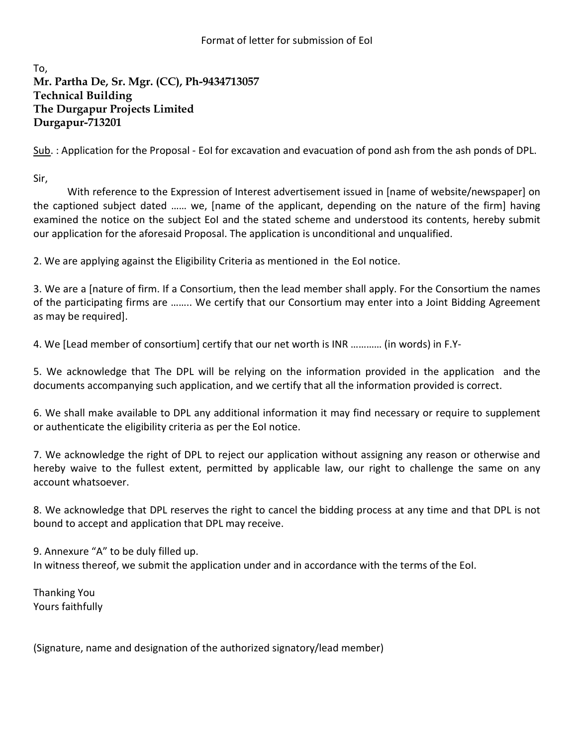#### Format of letter for submission of EoI

# To, Mr. Partha De, Sr. Mgr. (CC), Ph-9434713057 Technical Building The Durgapur Projects Limited Durgapur-713201

Sub. : Application for the Proposal - EoI for excavation and evacuation of pond ash from the ash ponds of DPL.

Sir,

 With reference to the Expression of Interest advertisement issued in [name of website/newspaper] on the captioned subject dated …… we, [name of the applicant, depending on the nature of the firm] having examined the notice on the subject EoI and the stated scheme and understood its contents, hereby submit our application for the aforesaid Proposal. The application is unconditional and unqualified.

2. We are applying against the Eligibility Criteria as mentioned in the EoI notice.

3. We are a [nature of firm. If a Consortium, then the lead member shall apply. For the Consortium the names of the participating firms are …….. We certify that our Consortium may enter into a Joint Bidding Agreement as may be required].

4. We [Lead member of consortium] certify that our net worth is INR ………… (in words) in F.Y-

5. We acknowledge that The DPL will be relying on the information provided in the application and the documents accompanying such application, and we certify that all the information provided is correct.

6. We shall make available to DPL any additional information it may find necessary or require to supplement or authenticate the eligibility criteria as per the EoI notice.

7. We acknowledge the right of DPL to reject our application without assigning any reason or otherwise and hereby waive to the fullest extent, permitted by applicable law, our right to challenge the same on any account whatsoever.

8. We acknowledge that DPL reserves the right to cancel the bidding process at any time and that DPL is not bound to accept and application that DPL may receive.

9. Annexure "A" to be duly filled up. In witness thereof, we submit the application under and in accordance with the terms of the EoI.

Thanking You Yours faithfully

(Signature, name and designation of the authorized signatory/lead member)